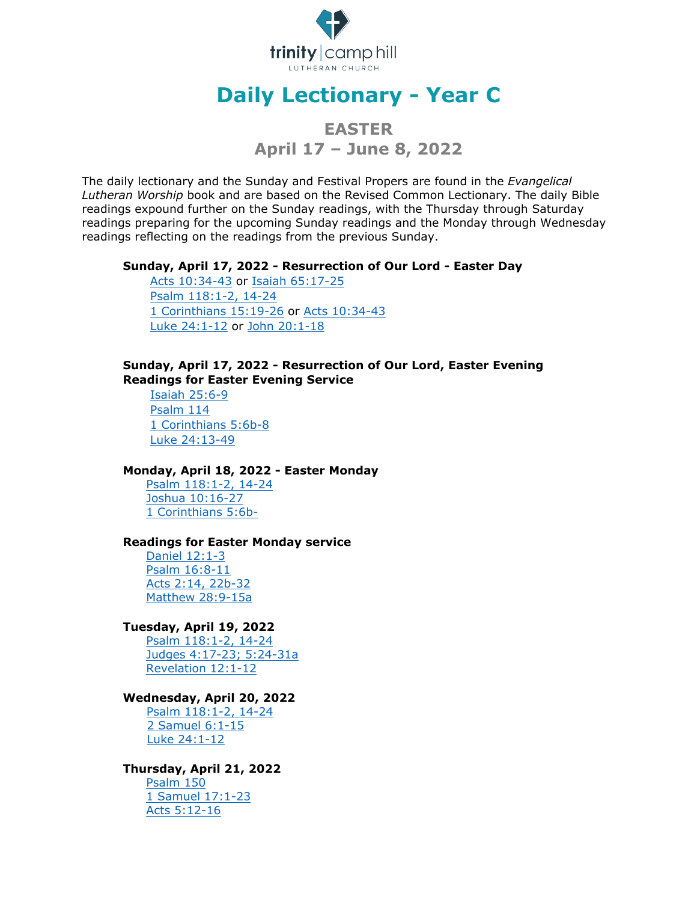

# **Daily Lectionary - Year C**

# **EASTER April 17 – June 8, 2022**

The daily lectionary and the Sunday and Festival Propers are found in the *Evangelical Lutheran Worship* book and are based on the Revised Common Lectionary. The daily Bible readings expound further on the Sunday readings, with the Thursday through Saturday readings preparing for the upcoming Sunday readings and the Monday through Wednesday readings reflecting on the readings from the previous Sunday.

#### **Sunday, April 17, 2022 - Resurrection of Our Lord - Easter Day**

[Acts 10:34-43](http://bible.oremus.org/?ql=131857523) or [Isaiah 65:17-25](http://bible.oremus.org/?ql=131857558) [Psalm 118:1-2, 14-24](http://bible.oremus.org/?ql=131857587) [1 Corinthians 15:19-26](http://bible.oremus.org/?ql=131857616) or [Acts 10:34-43](http://bible.oremus.org/?ql=131857523) [Luke 24:1-12](http://bible.oremus.org/?ql=131857643) or [John 20:1-18](http://bible.oremus.org/?ql=131857677)

# **Sunday, April 17, 2022 - Resurrection of Our Lord, Easter Evening Readings for Easter Evening Service**

[Isaiah 25:6-9](http://bible.oremus.org/?ql=101821860) [Psalm 114](http://bible.oremus.org/?ql=101821891) [1 Corinthians 5:6b-8](http://bible.oremus.org/?ql=101821920) [Luke 24:13-49](http://bible.oremus.org/?ql=101821960)

# **Monday, April 18, 2022 - Easter Monday**

[Psalm 118:1-2, 14-24](http://bible.oremus.org/?ql=131858116) [Joshua 10:16-27](http://bible.oremus.org/?ql=131858268) [1 Corinthians 5:6b-](http://bible.oremus.org/?ql=131858292)

#### **Readings for Easter Monday service**

[Daniel 12:1-3](http://bible.oremus.org/?ql=101803618) [Psalm 16:8-11](http://bible.oremus.org/?ql=101803648) [Acts 2:14, 22b-32](http://bible.oremus.org/?ql=101803699) [Matthew 28:9-15a](http://bible.oremus.org/?ql=101803744)

# **Tuesday, April 19, 2022**

[Psalm 118:1-2, 14-24](http://bible.oremus.org/?ql=131858116) [Judges 4:17-23; 5:24-31a](http://bible.oremus.org/?ql=131858319) [Revelation 12:1-12](http://bible.oremus.org/?ql=131858351)

#### **Wednesday, April 20, 2022**

[Psalm 118:1-2, 14-24](http://bible.oremus.org/?ql=131858116) [2 Samuel 6:1-15](http://bible.oremus.org/?ql=131858375) [Luke 24:1-12](http://bible.oremus.org/?ql=131858401)

#### **Thursday, April 21, 2022**

[Psalm 150](http://bible.oremus.org/?ql=136809962) [1 Samuel 17:1-23](http://bible.oremus.org/?ql=136810180) [Acts 5:12-16](http://bible.oremus.org/?ql=136810228)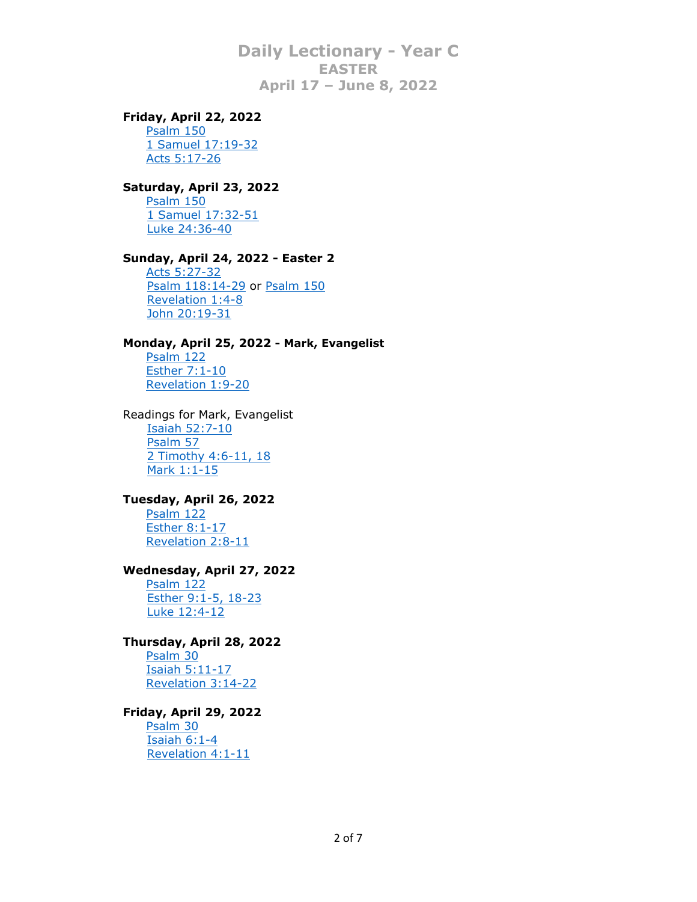# **Friday, April 22, 2022**

**[Psalm 150](http://bible.oremus.org/?ql=136809962)** [1 Samuel 17:19-32](http://bible.oremus.org/?ql=136810290) [Acts 5:17-26](http://bible.oremus.org/?ql=136810332)

# **Saturday, April 23, 2022**

[Psalm 150](http://bible.oremus.org/?ql=136809962) [1 Samuel 17:32-51](http://bible.oremus.org/?ql=136810384) [Luke 24:36-40](http://bible.oremus.org/?ql=136810423)

# **Sunday, April 24, 2022 - Easter 2**

[Acts 5:27-32](http://bible.oremus.org/?ql=136810463) [Psalm 118:14-29](http://bible.oremus.org/?ql=136810514) or [Psalm 150](http://bible.oremus.org/?ql=136809962) [Revelation 1:4-8](http://bible.oremus.org/?ql=136810553) [John 20:19-31](http://bible.oremus.org/?ql=136810587)

#### **Monday, April 25, 2022 - Mark, Evangelist**

[Psalm 122](http://bible.oremus.org/?ql=136810094) [Esther 7:1-10](http://bible.oremus.org/?ql=136810631) [Revelation 1:9-20](http://bible.oremus.org/?ql=136810665)

Readings for Mark, Evangelist [Isaiah 52:7-10](http://bible.oremus.org/?ql=102167657) [Psalm 57](http://bible.oremus.org/?ql=102167689) [2 Timothy 4:6-11, 18](http://bible.oremus.org/?ql=102167745) [Mark 1:1-15](http://bible.oremus.org/?ql=102167785)

#### **Tuesday, April 26, 2022**

[Psalm 122](http://bible.oremus.org/?ql=136810094) [Esther 8:1-17](http://bible.oremus.org/?ql=136810777) [Revelation 2:8-11](http://bible.oremus.org/?ql=136810810)

# **Wednesday, April 27, 2022**

[Psalm 122](http://bible.oremus.org/?ql=136810094) [Esther 9:1-5, 18-23](http://bible.oremus.org/?ql=136810844) [Luke 12:4-12](http://bible.oremus.org/?ql=136810886)

# **Thursday, April 28, 2022**

[Psalm 30](http://bible.oremus.org/?ql=136811672) [Isaiah 5:11-17](http://bible.oremus.org/?ql=136862687) [Revelation 3:14-22](http://bible.oremus.org/?ql=136862723)

#### **Friday, April 29, 2022**

**[Psalm 30](http://bible.oremus.org/?ql=136811672)**  [Isaiah 6:1-4](http://bible.oremus.org/?ql=136862812) [Revelation 4:1-11](http://bible.oremus.org/?ql=136862845)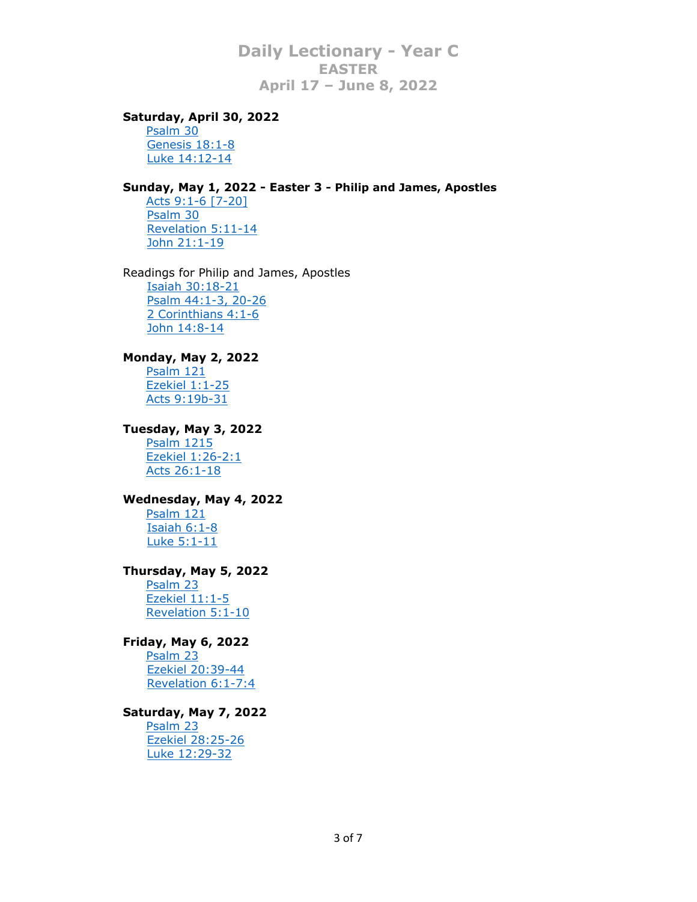#### **Saturday, April 30, 2022**

[Psalm 30](http://bible.oremus.org/?ql=136811672) [Genesis 18:1-8](http://bible.oremus.org/?ql=136862929) [Luke 14:12-14](http://bible.oremus.org/?ql=136862959)

# **Sunday, May 1, 2022 - Easter 3 - Philip and James, Apostles**

[Acts 9:1-6 \[7-20\]](http://bible.oremus.org/?ql=136811594) [Psalm 30](http://bible.oremus.org/?ql=136811672) [Revelation 5:11-14](http://bible.oremus.org/?ql=136811715) [John 21:1-19](http://bible.oremus.org/?ql=136811750)

Readings for Philip and James, Apostles [Isaiah 30:18-21](http://bible.oremus.org/?ql=102390725) [Psalm 44:1-3, 20-26](http://bible.oremus.org/?ql=102390754) [2 Corinthians 4:1-6](http://bible.oremus.org/?ql=102390783) [John 14:8-14](http://bible.oremus.org/?ql=102390814)

# **Monday, May 2, 2022**

[Psalm 121](http://bible.oremus.org/?ql=136862554) [Ezekiel 1:1-25](http://bible.oremus.org/?ql=136862999) [Acts 9:19b-31](http://bible.oremus.org/?ql=327286882)

#### **Tuesday, May 3, 2022**

[Psalm 1215](http://bible.oremus.org/?ql=136862554) [Ezekiel 1:26-2:1](http://bible.oremus.org/?ql=136863035) [Acts 26:1-18](http://bible.oremus.org/?ql=136863113)

#### **Wednesday, May 4, 2022**

[Psalm 121](http://bible.oremus.org/?ql=136862554) [Isaiah 6:1-8](http://bible.oremus.org/?ql=136863144) [Luke 5:1-11](http://bible.oremus.org/?ql=136863188)

# **Thursday, May 5, 2022**

[Psalm 23](http://bible.oremus.org/?ql=136811997) [Ezekiel 11:1-5](http://bible.oremus.org/?ql=138583868) [Revelation 5:1-10](http://bible.oremus.org/?ql=138583945)

# **Friday, May 6, 2022**

[Psalm 23](http://bible.oremus.org/?ql=136811997) [Ezekiel 20:39-44](http://bible.oremus.org/?ql=138583975) [Revelation 6:1-7:4](http://bible.oremus.org/?ql=138584020)

# **Saturday, May 7, 2022**

**[Psalm 23](http://bible.oremus.org/?ql=136811997)**  [Ezekiel 28:25-26](http://bible.oremus.org/?ql=138584051) [Luke 12:29-32](http://bible.oremus.org/?ql=138584078)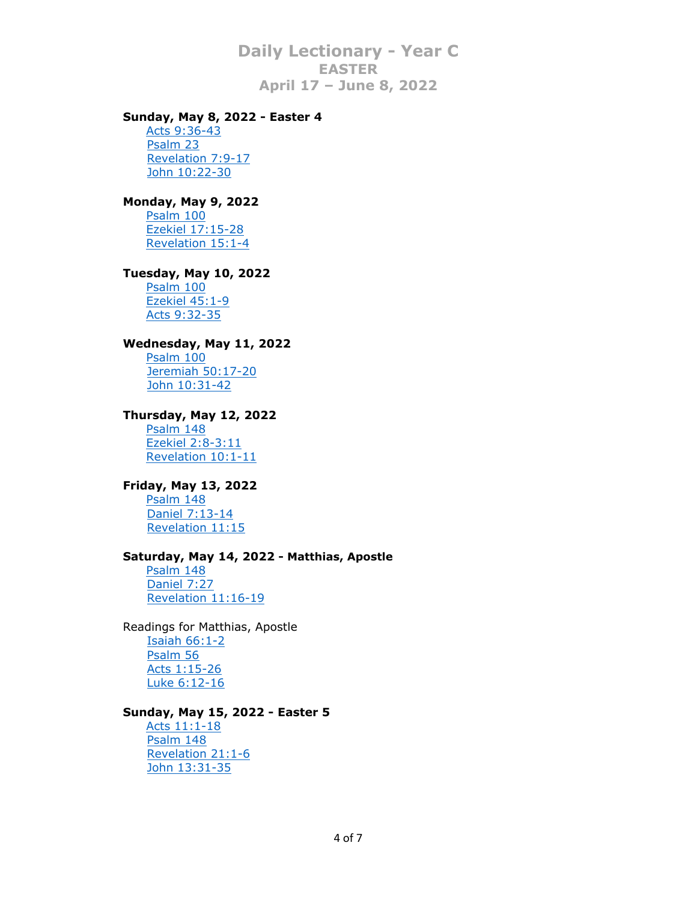# **Sunday, May 8, 2022 - Easter 4**

[Acts 9:36-43](http://bible.oremus.org/?ql=136811961) [Psalm 23](http://bible.oremus.org/?ql=136811997) [Revelation 7:9-17](http://bible.oremus.org/?ql=136812047) [John 10:22-30](http://bible.oremus.org/?ql=136812230)

#### **Monday, May 9, 2022**

[Psalm 100](http://bible.oremus.org/?ql=138584117) [Ezekiel 17:15-28](http://bible.oremus.org/?ql=138584175) [Revelation 15:1-4](http://bible.oremus.org/?ql=138584216)

#### **Tuesday, May 10, 2022**

[Psalm 100](http://bible.oremus.org/?ql=138584117) [Ezekiel 45:1-9](http://bible.oremus.org/?ql=138584250) [Acts 9:32-35](http://bible.oremus.org/?ql=138584284)

# **Wednesday, May 11, 2022**

[Psalm 100](http://bible.oremus.org/?ql=138584117) [Jeremiah 50:17-20](http://bible.oremus.org/?ql=138584322) [John 10:31-42](http://bible.oremus.org/?ql=138584358)

#### **Thursday, May 12, 2022**

[Psalm 148](http://bible.oremus.org/?ql=136812634) [Ezekiel 2:8-3:11](http://bible.oremus.org/?ql=139107354) [Revelation 10:1-11](http://bible.oremus.org/?ql=139107462)

# **Friday, May 13, 2022**

**[Psalm 148](http://bible.oremus.org/?ql=136812634)**  [Daniel 7:13-14](http://bible.oremus.org/?ql=139107525) [Revelation 11:15](http://bible.oremus.org/?ql=139107584)

#### **Saturday, May 14, 2022 - Matthias, Apostle**

[Psalm 148](http://bible.oremus.org/?ql=136812634) [Daniel 7:27](http://bible.oremus.org/?ql=139107659) [Revelation 11:16-19](http://bible.oremus.org/?ql=139107717)

Readings for Matthias, Apostle [Isaiah 66:1-2](http://bible.oremus.org/?ql=102406224) [Psalm 56](http://bible.oremus.org/?ql=102406282) [Acts 1:15-26](http://bible.oremus.org/?ql=102406334) [Luke 6:12-16](http://bible.oremus.org/?ql=102406368)

#### **Sunday, May 15, 2022 - Easter 5**

[Acts 11:1-18](http://bible.oremus.org/?ql=136812608) [Psalm 148](http://bible.oremus.org/?ql=136812634) [Revelation 21:1-6](http://bible.oremus.org/?ql=136812662) [John 13:31-35](http://bible.oremus.org/?ql=136812697)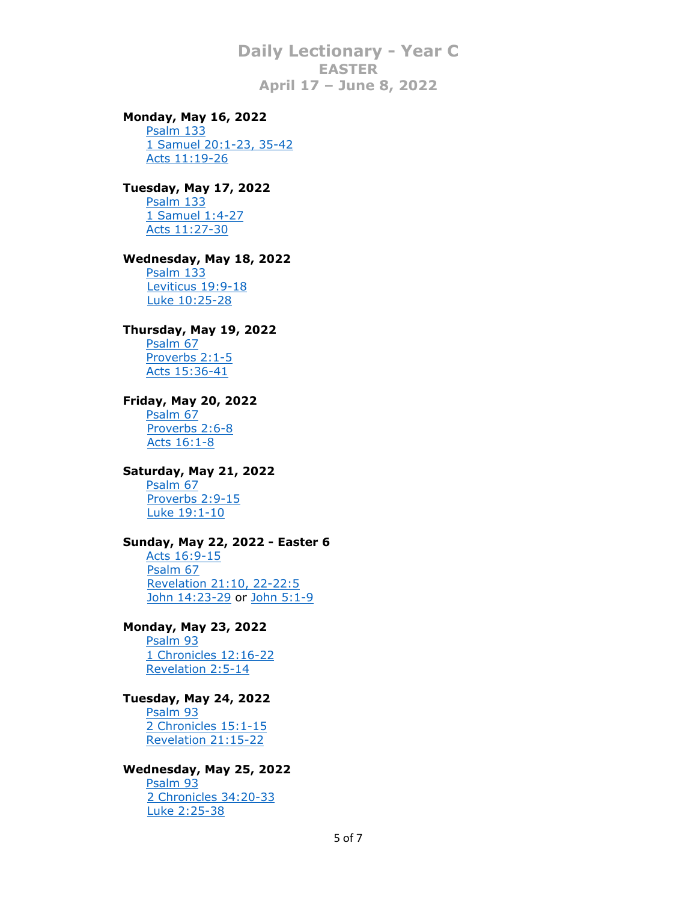# **Monday, May 16, 2022**

[Psalm 133](http://bible.oremus.org/?ql=139106947) [1 Samuel 20:1-23, 35-42](http://bible.oremus.org/?ql=139107797) [Acts 11:19-26](http://bible.oremus.org/?ql=139107850)

# **Tuesday, May 17, 2022**

[Psalm 133](http://bible.oremus.org/?ql=139106947) [1 Samuel 1:4-27](http://bible.oremus.org/?ql=139107907) [Acts 11:27-30](http://bible.oremus.org/?ql=139107979)

# **Wednesday, May 18, 2022**

[Psalm 133](http://bible.oremus.org/?ql=139106947) [Leviticus 19:9-18](http://bible.oremus.org/?ql=139108036) [Luke 10:25-28](http://bible.oremus.org/?ql=139108085)

#### **Thursday, May 19, 2022**

[Psalm 67](http://bible.oremus.org/?ql=136824164) [Proverbs 2:1-5](http://bible.oremus.org/?ql=139108860) [Acts 15:36-41](http://bible.oremus.org/?ql=139108912)

# **Friday, May 20, 2022**

[Psalm 67](http://bible.oremus.org/?ql=136824164) [Proverbs 2:6-8](http://bible.oremus.org/?ql=139108975) [Acts 16:1-8](http://bible.oremus.org/?ql=139109023)

# **Saturday, May 21, 2022**

[Psalm 67](http://bible.oremus.org/?ql=136824164) [Proverbs 2:9-15](http://bible.oremus.org/?ql=139109084) [Luke 19:1-10](http://bible.oremus.org/?ql=139109241)

# **Sunday, May 22, 2022 - Easter 6**

[Acts 16:9-15](http://bible.oremus.org/?ql=136824135) [Psalm 67](http://bible.oremus.org/?ql=136824164) [Revelation 21:10, 22-22:5](http://bible.oremus.org/?ql=136824197) [John 14:23-29](http://bible.oremus.org/?ql=136824235) or [John 5:1-9](http://bible.oremus.org/?ql=136824262)

# **Monday, May 23, 2022**

[Psalm 93](http://bible.oremus.org/?ql=139108477) [1 Chronicles 12:16-22](http://bible.oremus.org/?ql=139109304) [Revelation 2:5-14](http://bible.oremus.org/?ql=139109357)

# **Tuesday, May 24, 2022**

[Psalm 93](http://bible.oremus.org/?ql=139108477) [2 Chronicles 15:1-15](http://bible.oremus.org/?ql=139109409) [Revelation 21:15-22](http://bible.oremus.org/?ql=139109464)

#### **Wednesday, May 25, 2022**

[Psalm 93](http://bible.oremus.org/?ql=139108477) [2 Chronicles 34:20-33](http://bible.oremus.org/?ql=139109519) [Luke 2:25-38](http://bible.oremus.org/?ql=139109575)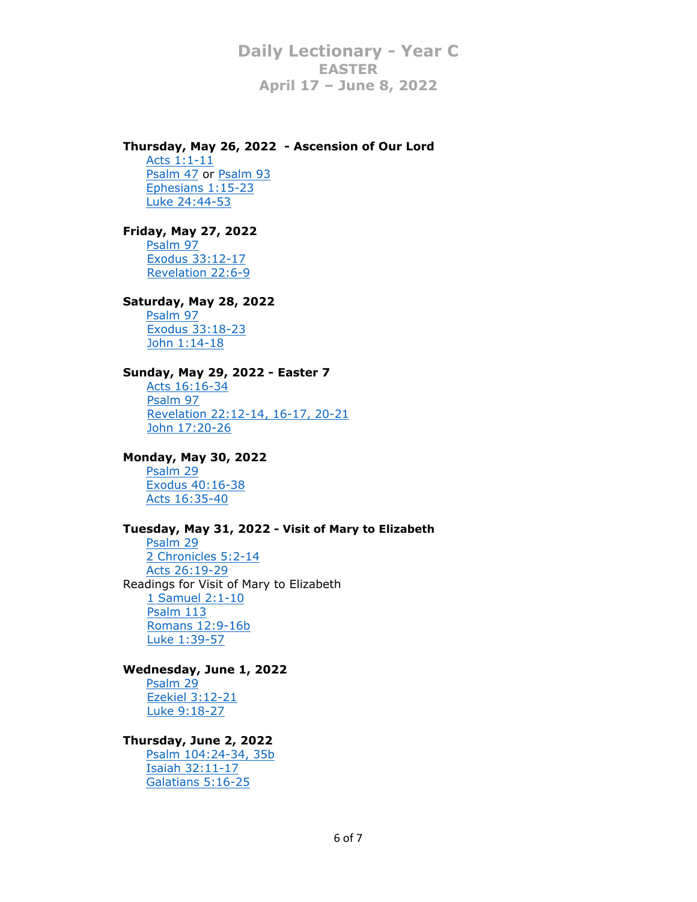# **Thursday, May 26, 2022 - Ascension of Our Lord**

[Acts 1:1-11](http://bible.oremus.org/?ql=102408501) [Psalm 47](http://bible.oremus.org/?ql=102408553) or [Psalm 93](http://bible.oremus.org/?ql=102408583) [Ephesians 1:15-23](http://bible.oremus.org/?ql=102408621) [Luke 24:44-53](http://bible.oremus.org/?ql=102408653)

# **Friday, May 27, 2022**

[Psalm 97](http://bible.oremus.org/?ql=136824565) [Exodus 33:12-17](http://bible.oremus.org/?ql=139110414) [Revelation 22:6-9](http://bible.oremus.org/?ql=139110463)

# **Saturday, May 28, 2022**

[Psalm 97](http://bible.oremus.org/?ql=136824565) [Exodus 33:18-23](http://bible.oremus.org/?ql=139110516) [John 1:14-18](http://bible.oremus.org/?ql=139110566)

# **Sunday, May 29, 2022 - Easter 7**

[Acts 16:16-34](http://bible.oremus.org/?ql=136824532) [Psalm 97](http://bible.oremus.org/?ql=136824565) [Revelation 22:12-14, 16-17, 20-21](http://bible.oremus.org/?ql=136824598) [John 17:20-26](http://bible.oremus.org/?ql=136824647)

# **Monday, May 30, 2022**

[Psalm 29](http://bible.oremus.org/?ql=139110048) [Exodus 40:16-38](http://bible.oremus.org/?ql=139110623) [Acts 16:35-40](http://bible.oremus.org/?ql=139110688)

# **Tuesday, May 31, 2022 - Visit of Mary to Elizabeth**

[Psalm 29](http://bible.oremus.org/?ql=139110048) [2 Chronicles 5:2-14](http://bible.oremus.org/?ql=139110736) [Acts 26:19-29](http://bible.oremus.org/?ql=502715324) Readings for Visit of Mary to Elizabeth [1 Samuel 2:1-10](http://bible.oremus.org/?ql=102406421) [Psalm 113](http://bible.oremus.org/?ql=102406451) [Romans 12:9-16b](http://bible.oremus.org/?ql=102406483) [Luke 1:39-57](http://bible.oremus.org/?ql=102406523)

# **Wednesday, June 1, 2022**

[Psalm 29](http://bible.oremus.org/?ql=139110048) [Ezekiel 3:12-21](http://bible.oremus.org/?ql=139110866) [Luke 9:18-27](http://bible.oremus.org/?ql=139110922)

# **Thursday, June 2, 2022**

[Psalm 104:24-34, 35b](http://bible.oremus.org/?ql=136823595) [Isaiah 32:11-17](http://bible.oremus.org/?ql=139799489) [Galatians 5:16-25](http://bible.oremus.org/?ql=139799521)